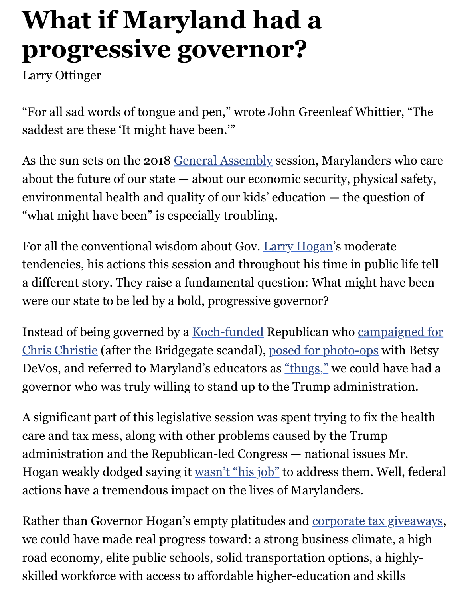## Larry Ottinger

"For all sad words of tongue and pen," wrote John Greenleaf Whittier saddest are these 'It might have been.'"

As the sun sets on the 2018 General Assembly session, Marylanders w about the future of our state  $-$  about our economic security, physical environmental health and quality of our kids' education - the question "what might have been" is especially troubling.

For all the conventional wis[dom about Gov. La](http://www.baltimoresun.com/topic/politics-government/maryland-general-assembly-ORGOV0000193-topic.html)rry Hogan's moderate tendencies, his actions this session and throughout his time in public a different story. They raise a fundamental question: What might have were our state to be led by a bold, progressive governor?

Instead of being governed by a Koch-funde[d Republican w](http://www.baltimoresun.com/topic/politics-government/government/larry-hogan-PEPLT0009123-topic.html)ho campaig Chris Christie (after the Bridgegate scandal), posed for photo-ops with DeVos, and referred to Maryland's educators as "thugs," we could have governor who was truly willing to stand up to the Trump administration.

A significant part of this legislative session was spent trying to fix the care and tax mess, along with other problem[s caused by the Trum](https://www.google.com/search?q=larry+hogan+betsy+devos&rlz=1C1GCEA_enUS781US781&source=lnms&tbm=isch&sa=X&ved=0ahUKEwj77IKXw63aAhXLqlMKHQIIDFIQ_AUICygC&biw=1745&bih=897)p administration and the Republican-led Congres[s — natio](http://www.baltimoresun.com/news/maryland/politics/blog/bal-hogan-calls-union-that-opposes-his-education-budget-decisions-thugs-20160805-story.html)nal issues M Hogan weakly dodged saying it wasn't "his job" to address them. Well actions have a tremendous impact on the lives of Marylanders.

Rather than Governor Hogan's empty platitudes and corporate tax gives we could have made real progress toward: a strong business climate, road economy, elite public scho[ols, solid transp](http://www.wbaltv.com/article/gov-larry-hogan-talks-politics-economy-amazon-hq2/13100757)ortation options, a high skilled workforce with access to affordable higher-education and skill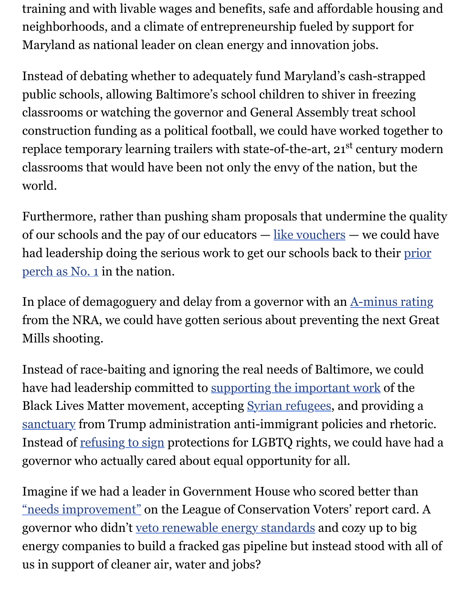Instead of debating whether to adequately fund  $M$ public schools, allowing Baltimore's school children to shiver in freez classrooms or watching the governor and General Assembly treat sch construction funding as a political football, we could have worked tog replace temporary learning trailers with state-of-the-art,  $21<sup>st</sup>$  century classrooms that would have been not only the envy of the nation, but world.

Furthermore, rather than pushing sham proposals that undermine the  $q$ of our schools and the pay of our educators  $-\underline{like}$  vouchers  $-$  we count had leadership doing the serious work to get our schools back to their perch as No. 1 in the nation.

In place of demagoguery and delay from a governor with an  $A$ -minus from the NRA, we could have gotten serious a[bout preventin](http://www.baltimoresun.com/news/maryland/education/k-12/bs-md-boost-vouchers-20171025-story.html)g the next [Mills shooting.](http://www.wbaltv.com/article/maryland-falls-to-6th-place-in-national-ranking-of-school-systems/15337744)

Instead of race-baiting and ignoring the real needs of Baltimore, we could have had leadership committed to supporting the important [work of the](http://www.baltimoresun.com/news/opinion/editorial/bs-ed-hogan-guns-20141021-story.html) Black Lives Matter movement, accepting **Syrian refugees**, and providing sanctuary from Trump administration anti-immigrant policies and rh Instead of refusing to sign protections for LGBTQ rights, we could ha governor who actually cared about [equal opportunity for all.](http://www.baltimoresun.com/news/opinion/editorial/bs-ed-hogan-crime-20151216-story.html)

Imagine if we had a leader in Governme[nt House who sco](http://www.baltimoresun.com/news/maryland/politics/bs-md-hogan-refugees-20151117-story.html)red better than ["needs im](http://governor.maryland.gov/2017/03/21/statement-from-governor-larry-hogan-on-house-bill-1362/)provement" on the League of Conservation Voters' report car governor [who didn't veto r](https://www.washingtonpost.com/local/md-politics/new-lgbt-protections-to-become-law-in-md-without-gov-hogans-signature/2015/05/24/1c11e57a-018a-11e5-833c-a2de05b6b2a4_story.html?utm_term=.30d992e96e00)enewable energy standards and cozy up to energy companies to build a fracked gas pipeline but instead stood with all of us in support of cleaner air, water and jobs?